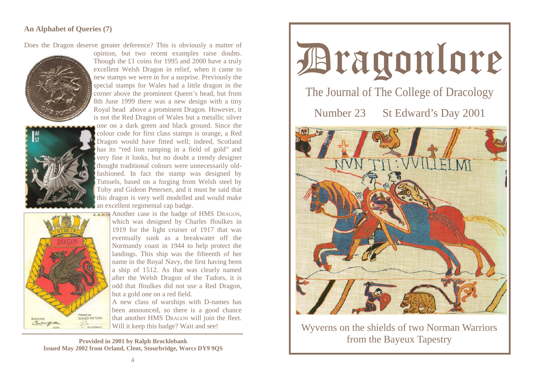## **An Alphabet of Queries (7)**

Does the Dragon deserve greater deference? This is obviously a matter of



opinion, but two recent examples raise doubts. Though the £1 coins for 1995 and 2000 have a truly excellent Welsh Dragon in relief, when it came to new stamps we were in for a surprise. Previously the special stamps for Wales had a little dragon in the corner above the prominent Queen's head, but from 8th June 1999 there was a new design with a tiny Royal head above a prominent Dragon. However, it is not the Red Dragon of Wales but a metallic silver



one on a dark green and black ground. Since the colour code for first class stamps is orange, a Red Dragon would have fitted well; indeed, Scotland has its "red lion ramping in a field of gold" and very fine it looks, but no doubt a trendy designer thought traditional colours were unnecessarily oldfashioned. In fact the stamp was designed by Tutssels, based on a forging from Welsh steel by Toby and Gideon Petersen, and it must be said that this dragon is very well modelled and would make an excellent regimental cap badge.



AAH<sub>13</sub> Another case is the badge of HMS DRAGON, which was designed by Charles ffoulkes in 1919 for the light cruiser of 1917 that was eventually sunk as a breakwater off the Normandy coast in 1944 to help protect the landings. This ship was the fifteenth of her name in the Royal Navy, the first having been a ship of 1512. As that was clearly named after the Welsh Dragon of the Tudors, it is odd that ffoulkes did not use a Red Dragon, but a gold one on a red field.

> A new class of warships with D-names has been announced, so there is a good chance that another HMS DRAGON will join the fleet. Will it keep this badge? Wait and see!

**Provided in 2001 by Ralph Brocklebank Issued May 2002 from Orland, Clent, Stourbridge, Worcs DY9 9QS** 



Wyverns on the shields of two Norman Warriors from the Bayeux Tapestry